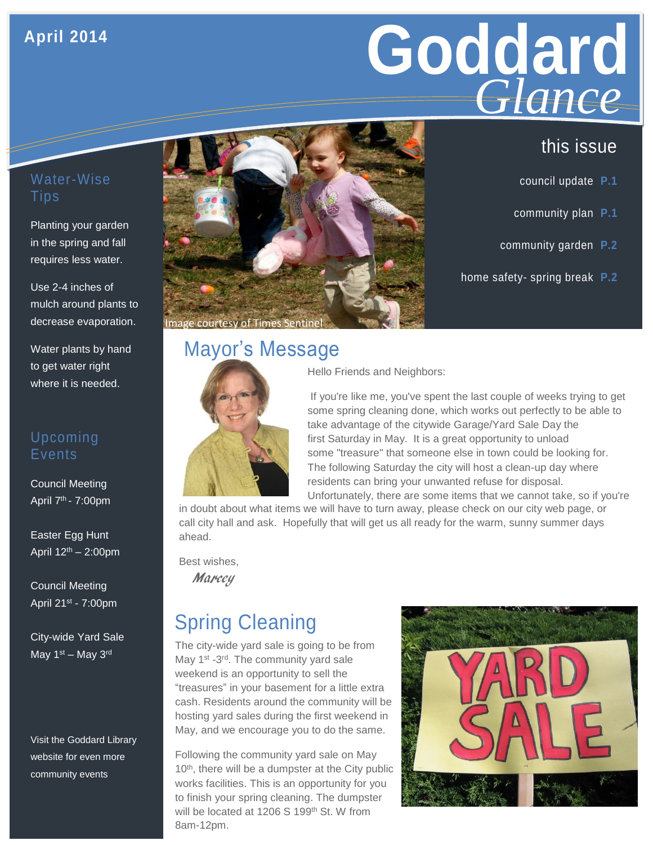## **April 2014**

# **Goddard GIGNCE**<br>this issue *Glance*

- council update **P.1**
- community plan **P.1**
- community garden **P.2**
- home safety- spring break **P.2**

#### Water-Wise Tips

Planting your garden in the spring and fall requires less water.

Use 2-4 inches of mulch around plants to decrease evaporation.

Water plants by hand to get water right where it is needed.

#### Upcoming Events

Council Meeting April 7th - 7:00pm

Easter Egg Hunt April 12th – 2:00pm

Council Meeting April 21st - 7:00pm

City-wide Yard Sale May 1<sup>st</sup> – May 3<sup>rd</sup>

Visit the Goddard Library website for even more community events



# Mayor's Message



Hello Friends and Neighbors:

If you're like me, you've spent the last couple of weeks trying to get some spring cleaning done, which works out perfectly to be able to take advantage of the citywide Garage/Yard Sale Day the first Saturday in May. It is a great opportunity to unload some "treasure" that someone else in town could be looking for. The following Saturday the city will host a clean-up day where residents can bring your unwanted refuse for disposal.

Unfortunately, there are some items that we cannot take, so if you're in doubt about what items we will have to turn away, please check on our city web page, or call city hall and ask. Hopefully that will get us all ready for the warm, sunny summer days ahead.

Best wishes,

**Marcey** 

# Spring Cleaning

The city-wide yard sale is going to be from May 1<sup>st</sup> -3<sup>rd</sup>. The community yard sale weekend is an opportunity to sell the "treasures" in your basement for a little extra cash. Residents around the community will be hosting yard sales during the first weekend in May, and we encourage you to do the same.

Following the community yard sale on May 10<sup>th</sup>, there will be a dumpster at the City public works facilities. This is an opportunity for you to finish your spring cleaning. The dumpster will be located at 1206 S 199<sup>th</sup> St. W from 8am-12pm.